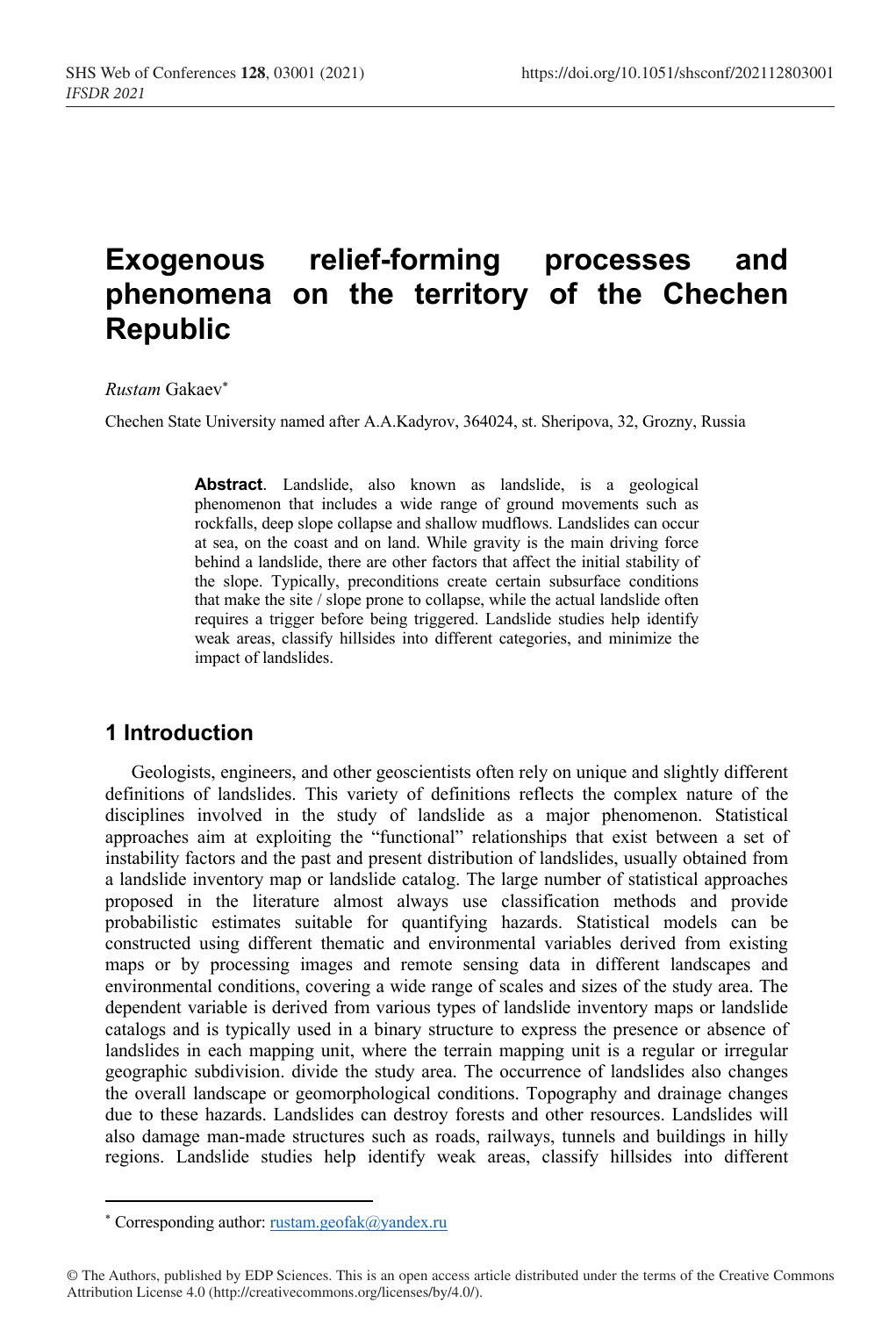# **Exogenous relief-forming processes and phenomena on the territory of the Chechen Republic**

#### *Rustam* Gakaev\*

Chechen State University named after A.A.Kadyrov, 364024, st. Sheripova, 32, Grozny, Russia

**Abstract**. Landslide, also known as landslide, is a geological phenomenon that includes a wide range of ground movements such as rockfalls, deep slope collapse and shallow mudflows. Landslides can occur at sea, on the coast and on land. While gravity is the main driving force behind a landslide, there are other factors that affect the initial stability of the slope. Typically, preconditions create certain subsurface conditions that make the site / slope prone to collapse, while the actual landslide often requires a trigger before being triggered. Landslide studies help identify weak areas, classify hillsides into different categories, and minimize the impact of landslides.

### **1 Introduction**

Geologists, engineers, and other geoscientists often rely on unique and slightly different definitions of landslides. This variety of definitions reflects the complex nature of the disciplines involved in the study of landslide as a major phenomenon. Statistical approaches aim at exploiting the "functional" relationships that exist between a set of instability factors and the past and present distribution of landslides, usually obtained from a landslide inventory map or landslide catalog. The large number of statistical approaches proposed in the literature almost always use classification methods and provide probabilistic estimates suitable for quantifying hazards. Statistical models can be constructed using different thematic and environmental variables derived from existing maps or by processing images and remote sensing data in different landscapes and environmental conditions, covering a wide range of scales and sizes of the study area. The dependent variable is derived from various types of landslide inventory maps or landslide catalogs and is typically used in a binary structure to express the presence or absence of landslides in each mapping unit, where the terrain mapping unit is a regular or irregular geographic subdivision. divide the study area. The occurrence of landslides also changes the overall landscape or geomorphological conditions. Topography and drainage changes due to these hazards. Landslides can destroy forests and other resources. Landslides will also damage man-made structures such as roads, railways, tunnels and buildings in hilly regions. Landslide studies help identify weak areas, classify hillsides into different

<sup>\*</sup> Corresponding author: rustam.geofak@yandex.ru

<sup>©</sup> The Authors, published by EDP Sciences. This is an open access article distributed under the terms of the Creative Commons Attribution License 4.0 (http://creativecommons.org/licenses/by/4.0/).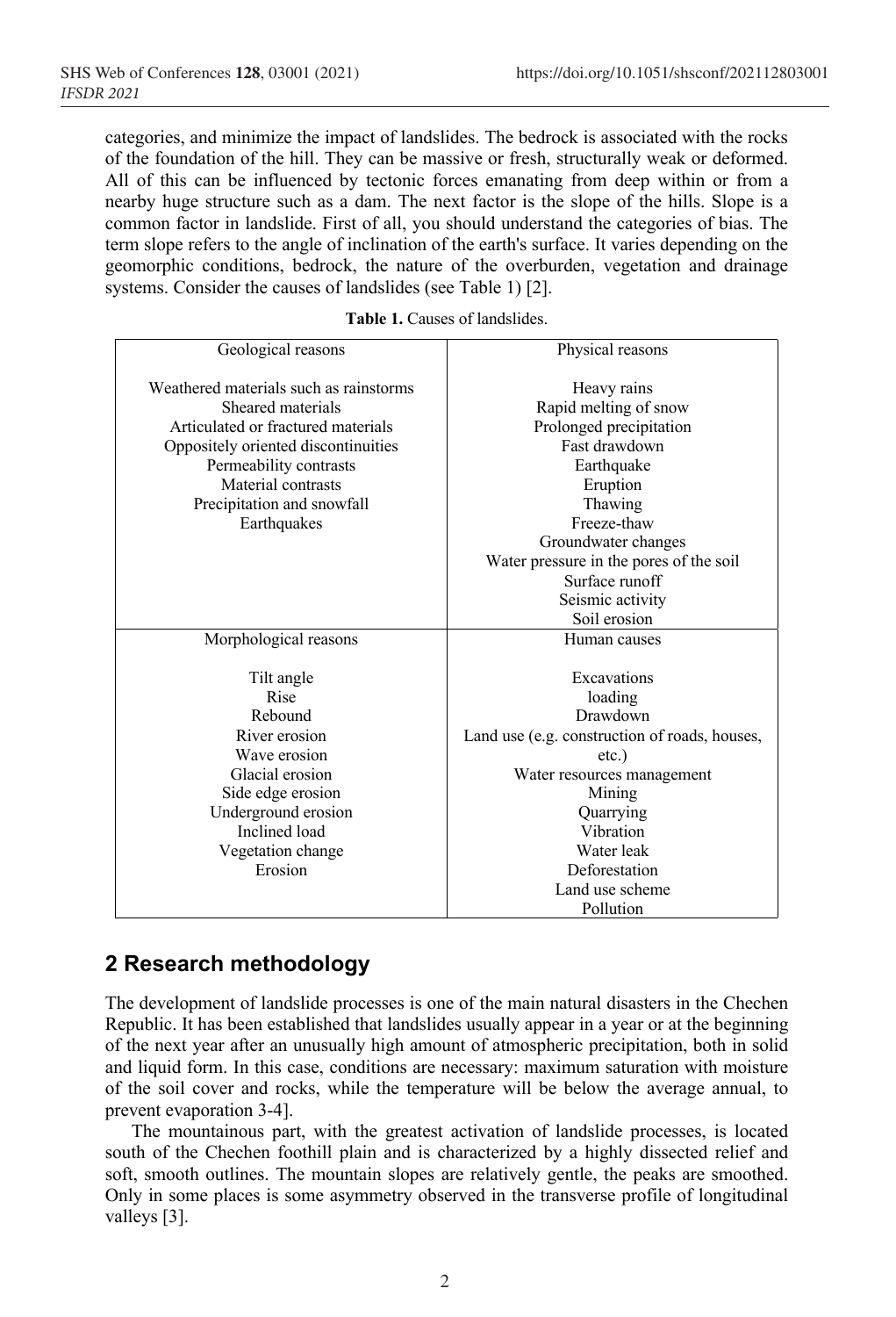categories, and minimize the impact of landslides. The bedrock is associated with the rocks of the foundation of the hill. They can be massive or fresh, structurally weak or deformed. All of this can be influenced by tectonic forces emanating from deep within or from a nearby huge structure such as a dam. The next factor is the slope of the hills. Slope is a common factor in landslide. First of all, you should understand the categories of bias. The term slope refers to the angle of inclination of the earth's surface. It varies depending on the geomorphic conditions, bedrock, the nature of the overburden, vegetation and drainage systems. Consider the causes of landslides (see Table 1) [2].

| Geological reasons                     | Physical reasons                              |
|----------------------------------------|-----------------------------------------------|
| Weathered materials such as rainstorms |                                               |
|                                        | Heavy rains                                   |
| Sheared materials                      | Rapid melting of snow                         |
| Articulated or fractured materials     | Prolonged precipitation                       |
| Oppositely oriented discontinuities    | Fast drawdown                                 |
| Permeability contrasts                 | Earthquake                                    |
| Material contrasts                     | Eruption                                      |
| Precipitation and snowfall             | Thawing                                       |
| Earthquakes                            | Freeze-thaw                                   |
|                                        | Groundwater changes                           |
|                                        | Water pressure in the pores of the soil       |
|                                        | Surface runoff                                |
|                                        | Seismic activity                              |
|                                        | Soil erosion                                  |
| Morphological reasons                  | Human causes                                  |
|                                        |                                               |
| Tilt angle                             | Excavations                                   |
| Rise                                   | loading                                       |
| Rebound                                | Drawdown                                      |
| River erosion                          | Land use (e.g. construction of roads, houses, |
| Wave erosion                           | $etc.$ )                                      |
| Glacial erosion                        | Water resources management                    |
| Side edge erosion                      | Mining                                        |
| Underground erosion                    | Quarrying                                     |
| Inclined load                          | Vibration                                     |
| Vegetation change                      | Water leak                                    |
| Erosion                                | Deforestation                                 |
|                                        | Land use scheme                               |
|                                        | Pollution                                     |

## **2 Research methodology**

The development of landslide processes is one of the main natural disasters in the Chechen Republic. It has been established that landslides usually appear in a year or at the beginning of the next year after an unusually high amount of atmospheric precipitation, both in solid and liquid form. In this case, conditions are necessary: maximum saturation with moisture of the soil cover and rocks, while the temperature will be below the average annual, to prevent evaporation 3-4].

The mountainous part, with the greatest activation of landslide processes, is located south of the Chechen foothill plain and is characterized by a highly dissected relief and soft, smooth outlines. The mountain slopes are relatively gentle, the peaks are smoothed. Only in some places is some asymmetry observed in the transverse profile of longitudinal valleys [3].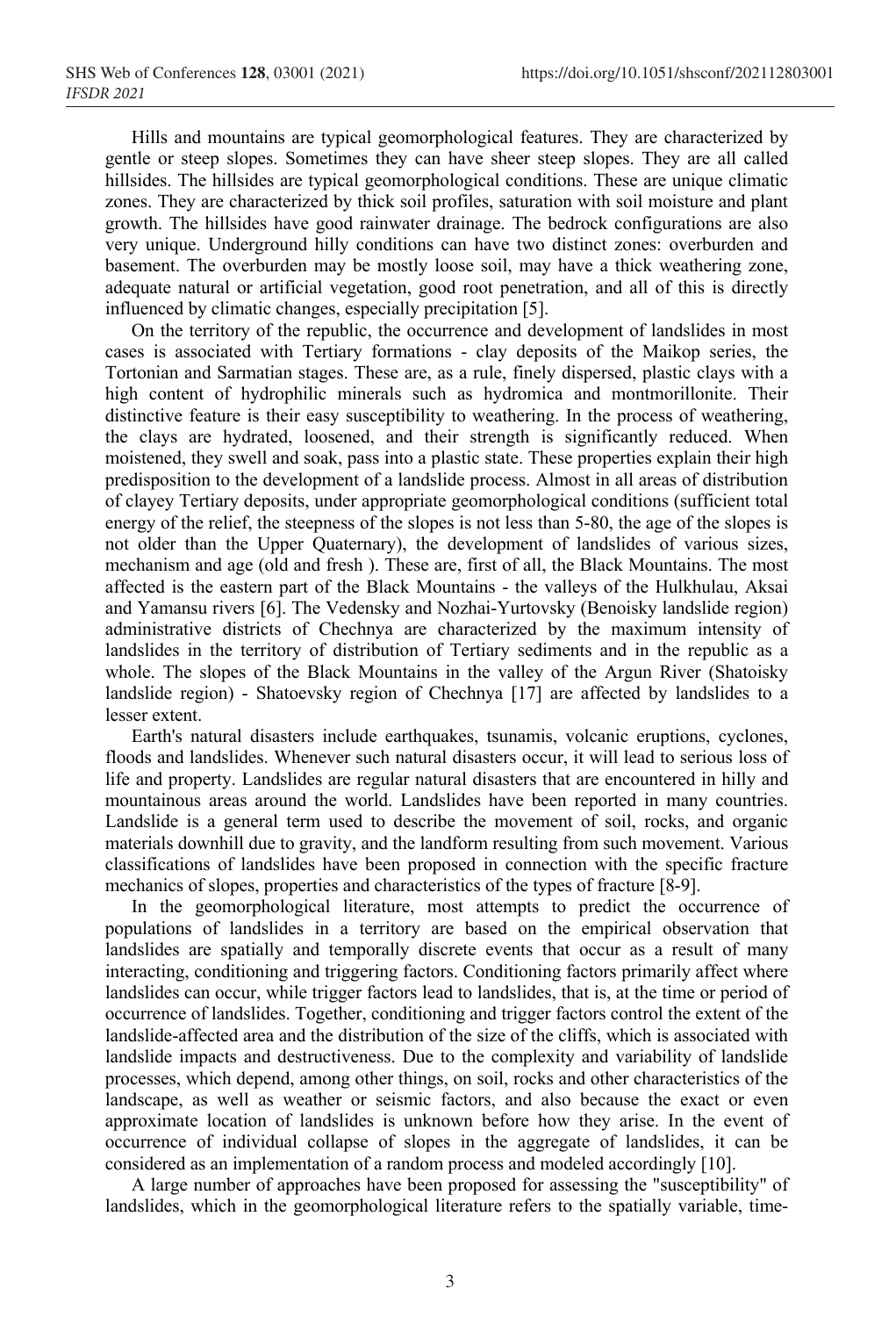Hills and mountains are typical geomorphological features. They are characterized by gentle or steep slopes. Sometimes they can have sheer steep slopes. They are all called hillsides. The hillsides are typical geomorphological conditions. These are unique climatic zones. They are characterized by thick soil profiles, saturation with soil moisture and plant growth. The hillsides have good rainwater drainage. The bedrock configurations are also very unique. Underground hilly conditions can have two distinct zones: overburden and basement. The overburden may be mostly loose soil, may have a thick weathering zone, adequate natural or artificial vegetation, good root penetration, and all of this is directly influenced by climatic changes, especially precipitation [5].

On the territory of the republic, the occurrence and development of landslides in most cases is associated with Tertiary formations - clay deposits of the Maikop series, the Tortonian and Sarmatian stages. These are, as a rule, finely dispersed, plastic clays with a high content of hydrophilic minerals such as hydromica and montmorillonite. Their distinctive feature is their easy susceptibility to weathering. In the process of weathering, the clays are hydrated, loosened, and their strength is significantly reduced. When moistened, they swell and soak, pass into a plastic state. These properties explain their high predisposition to the development of a landslide process. Almost in all areas of distribution of clayey Tertiary deposits, under appropriate geomorphological conditions (sufficient total energy of the relief, the steepness of the slopes is not less than 5-80, the age of the slopes is not older than the Upper Quaternary), the development of landslides of various sizes, mechanism and age (old and fresh ). These are, first of all, the Black Mountains. The most affected is the eastern part of the Black Mountains - the valleys of the Hulkhulau, Aksai and Yamansu rivers [6]. The Vedensky and Nozhai-Yurtovsky (Benoisky landslide region) administrative districts of Chechnya are characterized by the maximum intensity of landslides in the territory of distribution of Tertiary sediments and in the republic as a whole. The slopes of the Black Mountains in the valley of the Argun River (Shatoisky landslide region) - Shatoevsky region of Chechnya [17] are affected by landslides to a lesser extent.

Earth's natural disasters include earthquakes, tsunamis, volcanic eruptions, cyclones, floods and landslides. Whenever such natural disasters occur, it will lead to serious loss of life and property. Landslides are regular natural disasters that are encountered in hilly and mountainous areas around the world. Landslides have been reported in many countries. Landslide is a general term used to describe the movement of soil, rocks, and organic materials downhill due to gravity, and the landform resulting from such movement. Various classifications of landslides have been proposed in connection with the specific fracture mechanics of slopes, properties and characteristics of the types of fracture [8-9].

In the geomorphological literature, most attempts to predict the occurrence of populations of landslides in a territory are based on the empirical observation that landslides are spatially and temporally discrete events that occur as a result of many interacting, conditioning and triggering factors. Conditioning factors primarily affect where landslides can occur, while trigger factors lead to landslides, that is, at the time or period of occurrence of landslides. Together, conditioning and trigger factors control the extent of the landslide-affected area and the distribution of the size of the cliffs, which is associated with landslide impacts and destructiveness. Due to the complexity and variability of landslide processes, which depend, among other things, on soil, rocks and other characteristics of the landscape, as well as weather or seismic factors, and also because the exact or even approximate location of landslides is unknown before how they arise. In the event of occurrence of individual collapse of slopes in the aggregate of landslides, it can be considered as an implementation of a random process and modeled accordingly [10].

A large number of approaches have been proposed for assessing the "susceptibility" of landslides, which in the geomorphological literature refers to the spatially variable, time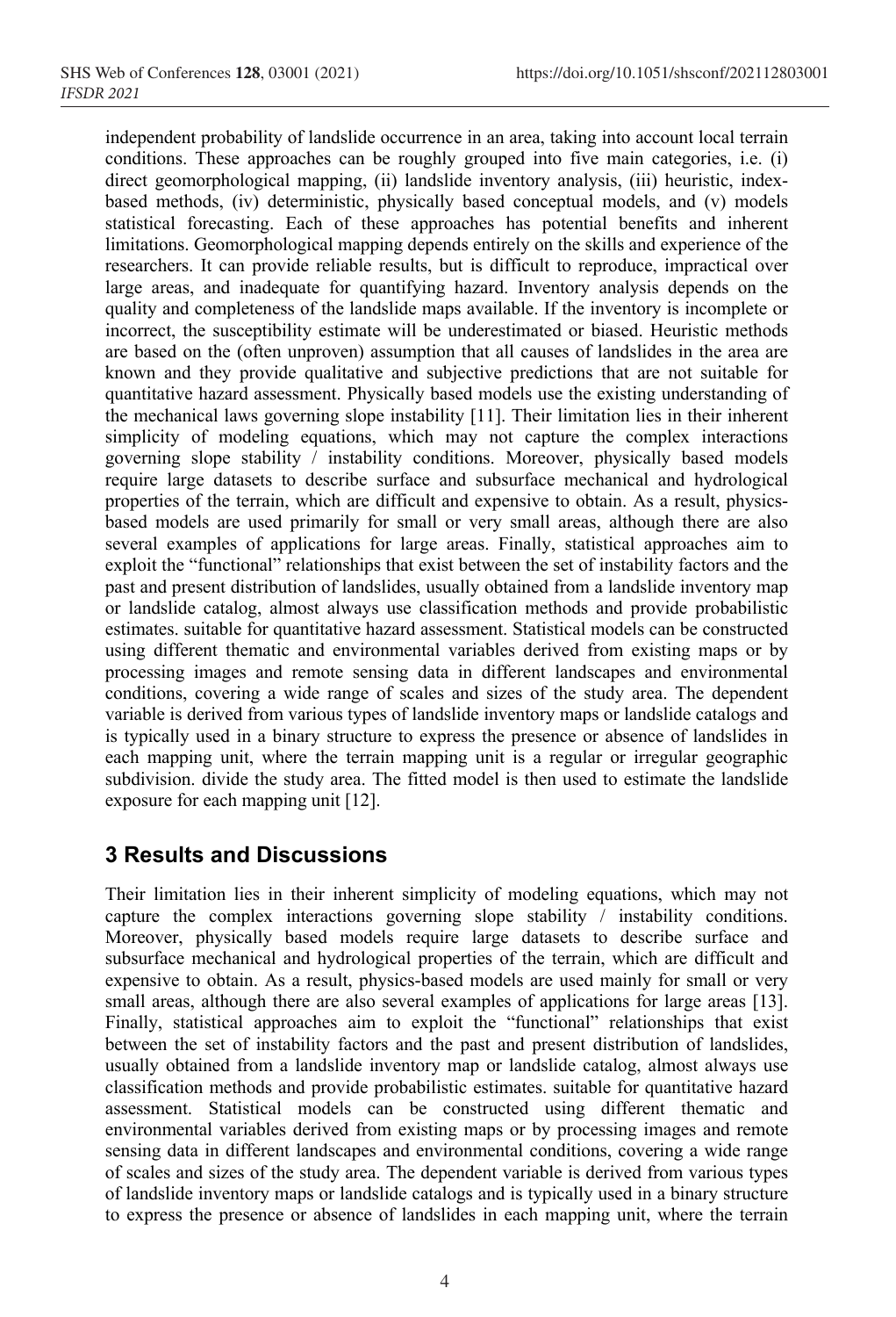independent probability of landslide occurrence in an area, taking into account local terrain conditions. These approaches can be roughly grouped into five main categories, i.e. (i) direct geomorphological mapping, (ii) landslide inventory analysis, (iii) heuristic, indexbased methods, (iv) deterministic, physically based conceptual models, and (v) models statistical forecasting. Each of these approaches has potential benefits and inherent limitations. Geomorphological mapping depends entirely on the skills and experience of the researchers. It can provide reliable results, but is difficult to reproduce, impractical over large areas, and inadequate for quantifying hazard. Inventory analysis depends on the quality and completeness of the landslide maps available. If the inventory is incomplete or incorrect, the susceptibility estimate will be underestimated or biased. Heuristic methods are based on the (often unproven) assumption that all causes of landslides in the area are known and they provide qualitative and subjective predictions that are not suitable for quantitative hazard assessment. Physically based models use the existing understanding of the mechanical laws governing slope instability [11]. Their limitation lies in their inherent simplicity of modeling equations, which may not capture the complex interactions governing slope stability / instability conditions. Moreover, physically based models require large datasets to describe surface and subsurface mechanical and hydrological properties of the terrain, which are difficult and expensive to obtain. As a result, physicsbased models are used primarily for small or very small areas, although there are also several examples of applications for large areas. Finally, statistical approaches aim to exploit the "functional" relationships that exist between the set of instability factors and the past and present distribution of landslides, usually obtained from a landslide inventory map or landslide catalog, almost always use classification methods and provide probabilistic estimates. suitable for quantitative hazard assessment. Statistical models can be constructed using different thematic and environmental variables derived from existing maps or by processing images and remote sensing data in different landscapes and environmental conditions, covering a wide range of scales and sizes of the study area. The dependent variable is derived from various types of landslide inventory maps or landslide catalogs and is typically used in a binary structure to express the presence or absence of landslides in each mapping unit, where the terrain mapping unit is a regular or irregular geographic subdivision. divide the study area. The fitted model is then used to estimate the landslide exposure for each mapping unit [12].

## **3 Results and Discussions**

Their limitation lies in their inherent simplicity of modeling equations, which may not capture the complex interactions governing slope stability / instability conditions. Moreover, physically based models require large datasets to describe surface and subsurface mechanical and hydrological properties of the terrain, which are difficult and expensive to obtain. As a result, physics-based models are used mainly for small or very small areas, although there are also several examples of applications for large areas [13]. Finally, statistical approaches aim to exploit the "functional" relationships that exist between the set of instability factors and the past and present distribution of landslides, usually obtained from a landslide inventory map or landslide catalog, almost always use classification methods and provide probabilistic estimates. suitable for quantitative hazard assessment. Statistical models can be constructed using different thematic and environmental variables derived from existing maps or by processing images and remote sensing data in different landscapes and environmental conditions, covering a wide range of scales and sizes of the study area. The dependent variable is derived from various types of landslide inventory maps or landslide catalogs and is typically used in a binary structure to express the presence or absence of landslides in each mapping unit, where the terrain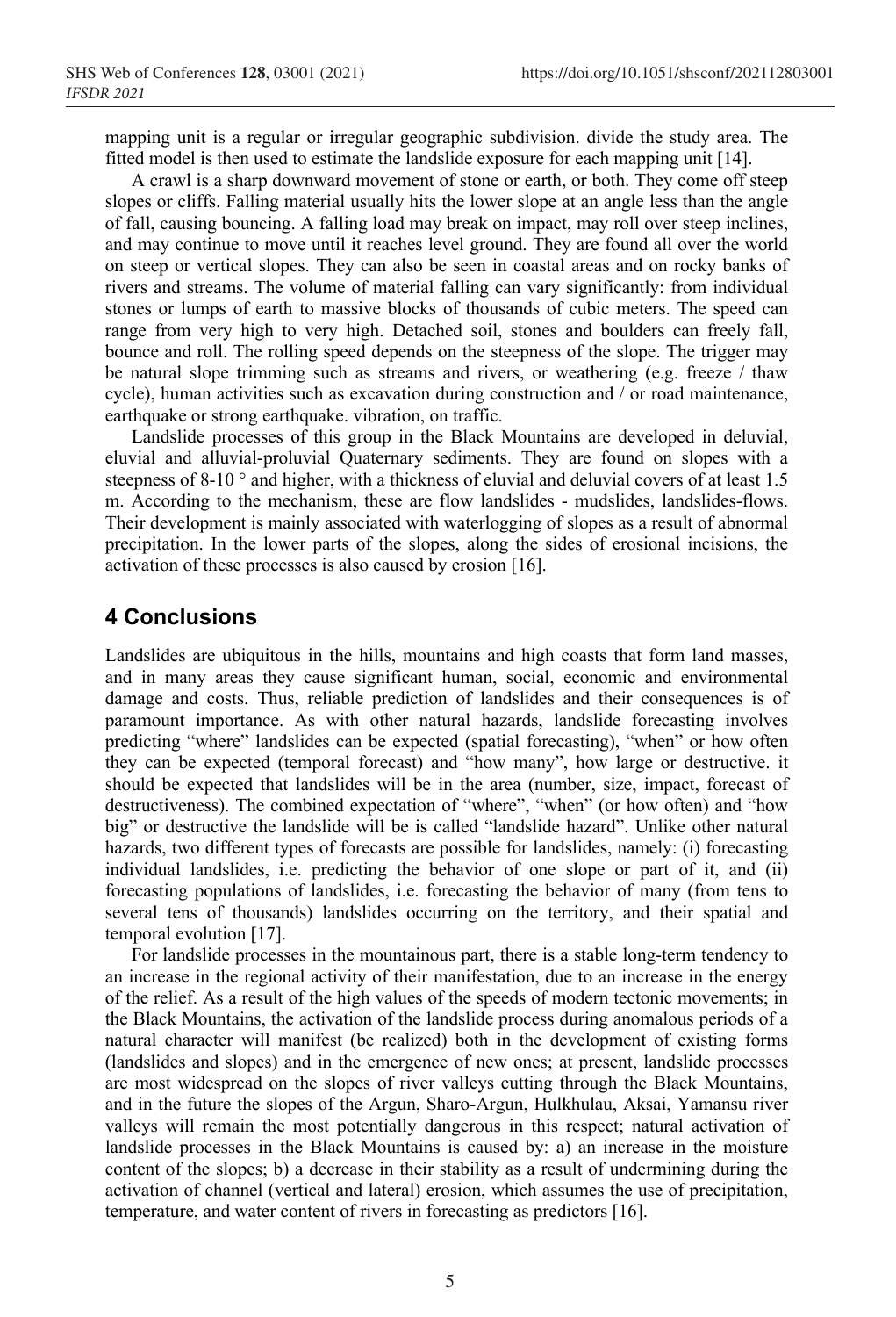mapping unit is a regular or irregular geographic subdivision. divide the study area. The fitted model is then used to estimate the landslide exposure for each mapping unit [14].

A crawl is a sharp downward movement of stone or earth, or both. They come off steep slopes or cliffs. Falling material usually hits the lower slope at an angle less than the angle of fall, causing bouncing. A falling load may break on impact, may roll over steep inclines, and may continue to move until it reaches level ground. They are found all over the world on steep or vertical slopes. They can also be seen in coastal areas and on rocky banks of rivers and streams. The volume of material falling can vary significantly: from individual stones or lumps of earth to massive blocks of thousands of cubic meters. The speed can range from very high to very high. Detached soil, stones and boulders can freely fall, bounce and roll. The rolling speed depends on the steepness of the slope. The trigger may be natural slope trimming such as streams and rivers, or weathering (e.g. freeze / thaw cycle), human activities such as excavation during construction and / or road maintenance, earthquake or strong earthquake. vibration, on traffic.

Landslide processes of this group in the Black Mountains are developed in deluvial, eluvial and alluvial-proluvial Quaternary sediments. They are found on slopes with a steepness of 8-10 ° and higher, with a thickness of eluvial and deluvial covers of at least 1.5 m. According to the mechanism, these are flow landslides - mudslides, landslides-flows. Their development is mainly associated with waterlogging of slopes as a result of abnormal precipitation. In the lower parts of the slopes, along the sides of erosional incisions, the activation of these processes is also caused by erosion [16].

### **4 Conclusions**

Landslides are ubiquitous in the hills, mountains and high coasts that form land masses, and in many areas they cause significant human, social, economic and environmental damage and costs. Thus, reliable prediction of landslides and their consequences is of paramount importance. As with other natural hazards, landslide forecasting involves predicting "where" landslides can be expected (spatial forecasting), "when" or how often they can be expected (temporal forecast) and "how many", how large or destructive. it should be expected that landslides will be in the area (number, size, impact, forecast of destructiveness). The combined expectation of "where", "when" (or how often) and "how big" or destructive the landslide will be is called "landslide hazard". Unlike other natural hazards, two different types of forecasts are possible for landslides, namely: (i) forecasting individual landslides, i.e. predicting the behavior of one slope or part of it, and (ii) forecasting populations of landslides, i.e. forecasting the behavior of many (from tens to several tens of thousands) landslides occurring on the territory, and their spatial and temporal evolution [17].

For landslide processes in the mountainous part, there is a stable long-term tendency to an increase in the regional activity of their manifestation, due to an increase in the energy of the relief. As a result of the high values of the speeds of modern tectonic movements; in the Black Mountains, the activation of the landslide process during anomalous periods of a natural character will manifest (be realized) both in the development of existing forms (landslides and slopes) and in the emergence of new ones; at present, landslide processes are most widespread on the slopes of river valleys cutting through the Black Mountains, and in the future the slopes of the Argun, Sharo-Argun, Hulkhulau, Aksai, Yamansu river valleys will remain the most potentially dangerous in this respect; natural activation of landslide processes in the Black Mountains is caused by: a) an increase in the moisture content of the slopes; b) a decrease in their stability as a result of undermining during the activation of channel (vertical and lateral) erosion, which assumes the use of precipitation, temperature, and water content of rivers in forecasting as predictors [16].